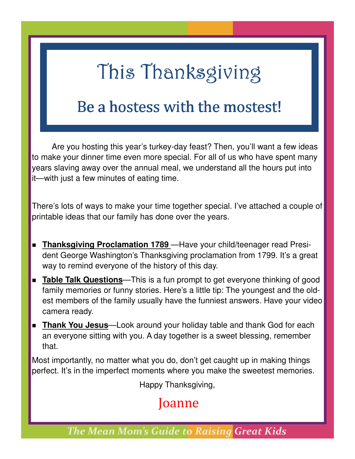## This Thanksgiving

### Be a hostess with the mostest!

 Are you hosting this year's turkey-day feast? Then, you'll want a few ideas to make your dinner time even more special. For all of us who have spent many years slaving away over the annual meal, we understand all the hours put into it—with just a few minutes of eating time.

There's lots of ways to make your time together special. I've attached a couple of printable ideas that our family has done over the years.

- **Thanksgiving Proclamation 1789** Have your child/teenager read President George Washington's Thanksgiving proclamation from 1799. It's a great way to remind everyone of the history of this day.
- **Table Talk Questions**—This is a fun prompt to get everyone thinking of good family memories or funny stories. Here's a little tip: The youngest and the oldest members of the family usually have the funniest answers. Have your video camera ready.
- **Thank You Jesus**—Look around your holiday table and thank God for each an everyone sitting with you. A day together is a sweet blessing, remember that.

Most importantly, no matter what you do, don't get caught up in making things perfect. It's in the imperfect moments where you make the sweetest memories.

Happy Thanksgiving,

#### Joanne

*The Mean Mom's Guide to Raising Great Kids*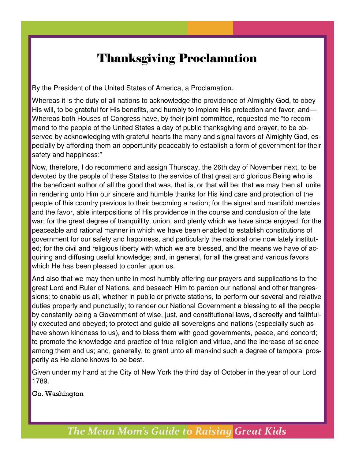#### Thanksgiving Proclamation

By the President of the United States of America, a Proclamation.

Whereas it is the duty of all nations to acknowledge the providence of Almighty God, to obey His will, to be grateful for His benefits, and humbly to implore His protection and favor; and— Whereas both Houses of Congress have, by their joint committee, requested me "to recommend to the people of the United States a day of public thanksgiving and prayer, to be observed by acknowledging with grateful hearts the many and signal favors of Almighty God, especially by affording them an opportunity peaceably to establish a form of government for their safety and happiness:"

Now, therefore, I do recommend and assign Thursday, the 26th day of November next, to be devoted by the people of these States to the service of that great and glorious Being who is the beneficent author of all the good that was, that is, or that will be; that we may then all unite in rendering unto Him our sincere and humble thanks for His kind care and protection of the people of this country previous to their becoming a nation; for the signal and manifold mercies and the favor, able interpositions of His providence in the course and conclusion of the late war; for the great degree of tranquillity, union, and plenty which we have since enjoyed; for the peaceable and rational manner in which we have been enabled to establish constitutions of government for our safety and happiness, and particularly the national one now lately instituted; for the civil and religious liberty with which we are blessed, and the means we have of acquiring and diffusing useful knowledge; and, in general, for all the great and various favors which He has been pleased to confer upon us.

And also that we may then unite in most humbly offering our prayers and supplications to the great Lord and Ruler of Nations, and beseech Him to pardon our national and other trangressions; to enable us all, whether in public or private stations, to perform our several and relative duties properly and punctually; to render our National Government a blessing to all the people by constantly being a Government of wise, just, and constitutional laws, discreetly and faithfully executed and obeyed; to protect and guide all sovereigns and nations (especially such as have shown kindness to us), and to bless them with good governments, peace, and concord; to promote the knowledge and practice of true religion and virtue, and the increase of science among them and us; and, generally, to grant unto all mankind such a degree of temporal prosperity as He alone knows to be best.

Given under my hand at the City of New York the third day of October in the year of our Lord 1789.

Go. Washington

*The Mean Mom's Guide to Raising Great Kids*